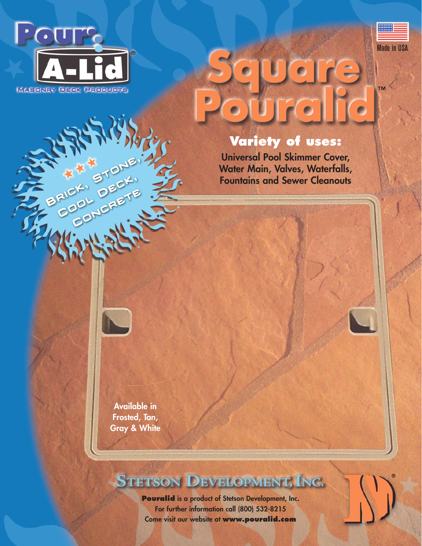

**RATH ANDRES** 



**™**

**®**

# $\overline{\bullet}$

### **Variety of uses:**

**Universal Pool Skimmer Cover, Water Main, Valves, Waterfalls, Fountains and Sewer Cleanouts**

**Available in Frosted, Tan, Gray & White**

## STETSON DEVELOPMENT, INC.

**Pouralid is a product of Stetson Development, Inc. For further information call (800) 532-8215 Come visit our website at www.pouralid.com**